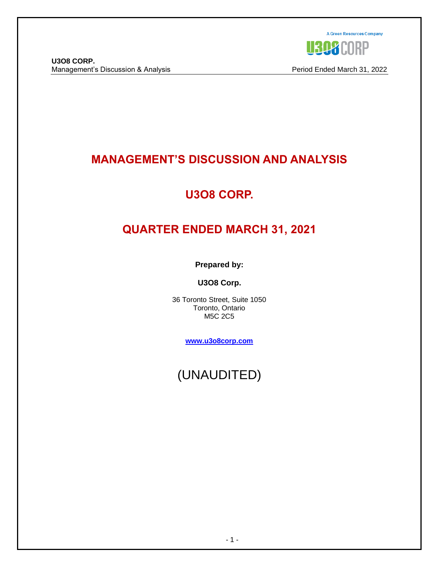

# **MANAGEMENT'S DISCUSSION AND ANALYSIS**

# **U3O8 CORP.**

# **QUARTER ENDED MARCH 31, 2021**

**Prepared by:**

**U3O8 Corp.**

36 Toronto Street, Suite 1050 Toronto, Ontario M5C 2C5

**[www.u3o8corp.com](http://www.u3o8corp.com/)**

(UNAUDITED)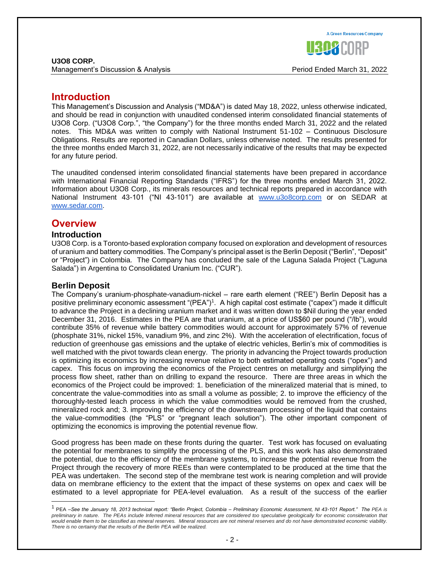- 2 -

#### **U3O8 CORP.** Management's Discussion & Analysis Period Ended March 31, 2022

# **Introduction**

This Management's Discussion and Analysis ("MD&A") is dated May 18, 2022, unless otherwise indicated, and should be read in conjunction with unaudited condensed interim consolidated financial statements of U3O8 Corp. ("U3O8 Corp.", "the Company") for the three months ended March 31, 2022 and the related notes. This MD&A was written to comply with National Instrument 51-102 – Continuous Disclosure Obligations. Results are reported in Canadian Dollars, unless otherwise noted. The results presented for the three months ended March 31, 2022, are not necessarily indicative of the results that may be expected for any future period.

The unaudited condensed interim consolidated financial statements have been prepared in accordance with International Financial Reporting Standards ("IFRS") for the three months ended March 31, 2022. Information about U3O8 Corp., its minerals resources and technical reports prepared in accordance with Na[t](http://www.u3o8corp.com/)ional Instrument 43-101 ("NI 43-101") are available at [www.u3o8corp.com](http://www.u3o8corp.com/) or on SEDAR at [www.sedar.com.](http://www.sedar.com/)

# **Overview**

# **Introduction**

U3O8 Corp. is a Toronto-based exploration company focused on exploration and development of resources of uranium and battery commodities. The Company's principal asset is the Berlin Deposit ("Berlin", "Deposit" or "Project") in Colombia. The Company has concluded the sale of the Laguna Salada Project ("Laguna Salada") in Argentina to Consolidated Uranium Inc. ("CUR").

# **Berlin Deposit**

The Company's uranium-phosphate-vanadium-nickel – rare earth element ("REE") Berlin Deposit has a positive preliminary economic assessment "(PEA")<sup>1</sup>. A high capital cost estimate ("capex") made it difficult to advance the Project in a declining uranium market and it was written down to \$Nil during the year ended December 31, 2016. Estimates in the PEA are that uranium, at a price of US\$60 per pound ("/lb"), would contribute 35% of revenue while battery commodities would account for approximately 57% of revenue (phosphate 31%, nickel 15%, vanadium 9%, and zinc 2%). With the acceleration of electrification, focus of reduction of greenhouse gas emissions and the uptake of electric vehicles, Berlin's mix of commodities is well matched with the pivot towards clean energy. The priority in advancing the Project towards production is optimizing its economics by increasing revenue relative to both estimated operating costs ("opex") and capex. This focus on improving the economics of the Project centres on metallurgy and simplifying the process flow sheet, rather than on drilling to expand the resource. There are three areas in which the economics of the Project could be improved: 1. beneficiation of the mineralized material that is mined, to concentrate the value-commodities into as small a volume as possible; 2. to improve the efficiency of the thoroughly-tested leach process in which the value commodities would be removed from the crushed, mineralized rock and; 3. improving the efficiency of the downstream processing of the liquid that contains the value-commodities (the "PLS" or "pregnant leach solution"). The other important component of optimizing the economics is improving the potential revenue flow.

Good progress has been made on these fronts during the quarter. Test work has focused on evaluating the potential for membranes to simplify the processing of the PLS, and this work has also demonstrated the potential, due to the efficiency of the membrane systems, to increase the potential revenue from the Project through the recovery of more REEs than were contemplated to be produced at the time that the PEA was undertaken. The second step of the membrane test work is nearing completion and will provide data on membrane efficiency to the extent that the impact of these systems on opex and caex will be estimated to a level appropriate for PEA-level evaluation. As a result of the success of the earlier



<sup>1</sup> PEA –*See the January 18, 2013 technical report: "Berlin Project, Colombia – Preliminary Economic Assessment, NI 43-101 Report." The PEA is preliminary in nature. The PEAs include Inferred mineral resources that are considered too speculative geologically for economic consideration that would enable them to be classified as mineral reserves. Mineral resources are not mineral reserves and do not have demonstrated economic viability. There is no certainty that the results of the Berlin PEA will be realized.*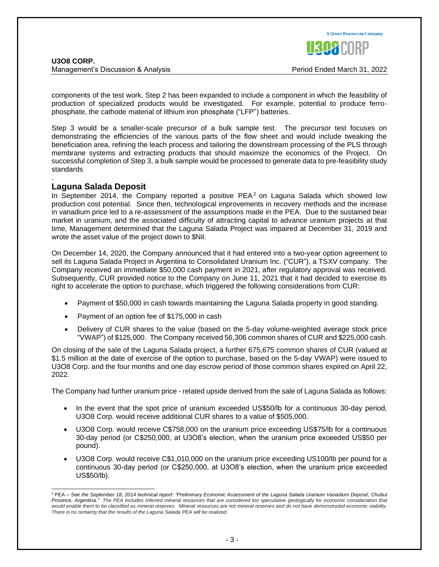components of the test work, Step 2 has been expanded to include a component in which the feasibility of production of specialized products would be investigated. For example, potential to produce ferrophosphate, the cathode material of lithium iron phosphate ("LFP") batteries.

Step 3 would be a smaller-scale precursor of a bulk sample test. The precursor test focuses on demonstrating the efficiencies of the various parts of the flow sheet and would include tweaking the beneficiation area, refining the leach process and tailoring the downstream processing of the PLS through membrane systems and extracting products that should maximize the economics of the Project. On successful completion of Step 3, a bulk sample would be processed to generate data to pre-feasibility study standards

#### . **Laguna Salada Deposit**

In September 2014, the Company reported a positive  $PEA<sup>2</sup>$  on Laguna Salada which showed low production cost potential. Since then, technological improvements in recovery methods and the increase in vanadium price led to a re-assessment of the assumptions made in the PEA. Due to the sustained bear market in uranium, and the associated difficulty of attracting capital to advance uranium projects at that time, Management determined that the Laguna Salada Project was impaired at December 31, 2019 and wrote the asset value of the project down to \$Nil.

On December 14, 2020, the Company announced that it had entered into a two-year option agreement to sell its Laguna Salada Project in Argentina to Consolidated Uranium Inc. ("CUR"), a TSXV company. The Company received an immediate \$50,000 cash payment in 2021, after regulatory approval was received. Subsequently, CUR provided notice to the Company on June 11, 2021 that it had decided to exercise its right to accelerate the option to purchase, which triggered the following considerations from CUR:

- Payment of \$50,000 in cash towards maintaining the Laguna Salada property in good standing.
- Payment of an option fee of \$175,000 in cash
- Delivery of CUR shares to the value (based on the 5-day volume-weighted average stock price "VWAP") of \$125,000. The Company received 56,306 common shares of CUR and \$225,000 cash.

On closing of the sale of the Laguna Salada project, a further 675,675 common shares of CUR (valued at \$1.5 million at the date of exercise of the option to purchase, based on the 5-day VWAP) were issued to U3O8 Corp. and the four months and one day escrow period of those common shares expired on April 22, 2022.

The Company had further uranium price - related upside derived from the sale of Laguna Salada as follows:

- In the event that the spot price of uranium exceeded US\$50/lb for a continuous 30-day period, U3O8 Corp. would receive additional CUR shares to a value of \$505,000.
- U3O8 Corp. would receive C\$758,000 on the uranium price exceeding US\$75/lb for a continuous 30-day period (or C\$250,000, at U3O8's election, when the uranium price exceeded US\$50 per pound).
- U3O8 Corp. would receive C\$1,010,000 on the uranium price exceeding US100/lb per pound for a continuous 30-day period (or C\$250,000, at U3O8's election, when the uranium price exceeded US\$50/lb).



<sup>2</sup> PEA – *See the September 18, 2014 technical report: "Preliminary Economic Assessment of the Laguna Salada Uranium Vanadium Deposit, Chubut Province, Argentina." The PEA includes Inferred mineral resources that are considered too speculative geologically for economic consideration that would enable them to be classified as mineral reserves. Mineral resources are not mineral reserves and do not have demonstrated economic viability. There is no certainty that the results of the Laguna Salada PEA will be realized.*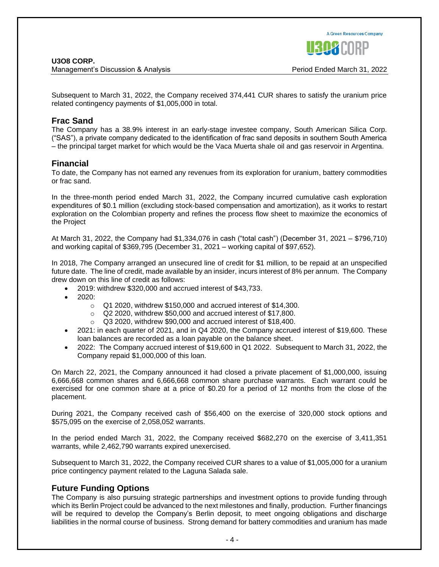Subsequent to March 31, 2022, the Company received 374,441 CUR shares to satisfy the uranium price related contingency payments of \$1,005,000 in total.

# **Frac Sand**

The Company has a 38.9% interest in an early-stage investee company, South American Silica Corp. ("SAS"), a private company dedicated to the identification of frac sand deposits in southern South America – the principal target market for which would be the Vaca Muerta shale oil and gas reservoir in Argentina.

# **Financial**

To date, the Company has not earned any revenues from its exploration for uranium, battery commodities or frac sand.

In the three-month period ended March 31, 2022, the Company incurred cumulative cash exploration expenditures of \$0.1 million (excluding stock-based compensation and amortization), as it works to restart exploration on the Colombian property and refines the process flow sheet to maximize the economics of the Project

At March 31, 2022, the Company had \$1,334,076 in cash ("total cash") (December 31, 2021 – \$796,710) and working capital of \$369,795 (December 31, 2021 – working capital of \$97,652).

In 2018, 7he Company arranged an unsecured line of credit for \$1 million, to be repaid at an unspecified future date. The line of credit, made available by an insider, incurs interest of 8% per annum. The Company drew down on this line of credit as follows:

- 2019: withdrew \$320,000 and accrued interest of \$43,733.
- $\bullet$  2020:
	- o Q1 2020, withdrew \$150,000 and accrued interest of \$14,300.
	- o Q2 2020, withdrew \$50,000 and accrued interest of \$17,800.
	- o Q3 2020, withdrew \$90,000 and accrued interest of \$18,400.
- 2021: in each quarter of 2021, and in Q4 2020, the Company accrued interest of \$19,600. These loan balances are recorded as a loan payable on the balance sheet.
- 2022: The Company accrued interest of \$19,600 in Q1 2022. Subsequent to March 31, 2022, the Company repaid \$1,000,000 of this loan.

On March 22, 2021, the Company announced it had closed a private placement of \$1,000,000, issuing 6,666,668 common shares and 6,666,668 common share purchase warrants. Each warrant could be exercised for one common share at a price of \$0.20 for a period of 12 months from the close of the placement.

During 2021, the Company received cash of \$56,400 on the exercise of 320,000 stock options and \$575,095 on the exercise of 2,058,052 warrants.

In the period ended March 31, 2022, the Company received \$682,270 on the exercise of 3,411,351 warrants, while 2,462,790 warrants expired unexercised.

Subsequent to March 31, 2022, the Company received CUR shares to a value of \$1,005,000 for a uranium price contingency payment related to the Laguna Salada sale.

# **Future Funding Options**

The Company is also pursuing strategic partnerships and investment options to provide funding through which its Berlin Project could be advanced to the next milestones and finally, production. Further financings will be required to develop the Company's Berlin deposit, to meet ongoing obligations and discharge liabilities in the normal course of business. Strong demand for battery commodities and uranium has made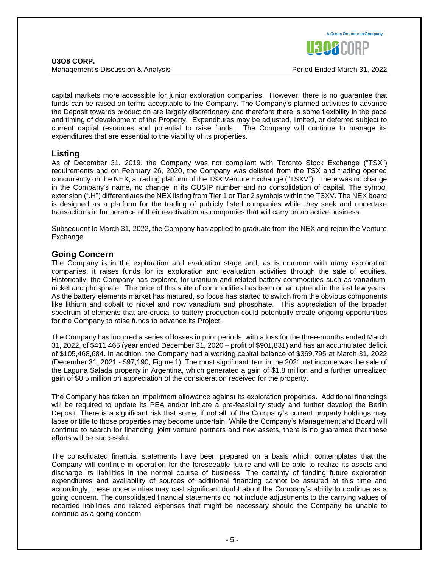**A Green Resources Company** 

capital markets more accessible for junior exploration companies. However, there is no guarantee that funds can be raised on terms acceptable to the Company. The Company's planned activities to advance the Deposit towards production are largely discretionary and therefore there is some flexibility in the pace and timing of development of the Property. Expenditures may be adjusted, limited, or deferred subject to current capital resources and potential to raise funds. The Company will continue to manage its expenditures that are essential to the viability of its properties.

# **Listing**

As of December 31, 2019, the Company was not compliant with Toronto Stock Exchange ("TSX") requirements and on February 26, 2020, the Company was delisted from the TSX and trading opened concurrently on the NEX, a trading platform of the TSX Venture Exchange ("TSXV"). There was no change in the Company's name, no change in its CUSIP number and no consolidation of capital. The symbol extension (".H") differentiates the NEX listing from Tier 1 or Tier 2 symbols within the TSXV. The NEX board is designed as a platform for the trading of publicly listed companies while they seek and undertake transactions in furtherance of their reactivation as companies that will carry on an active business.

Subsequent to March 31, 2022, the Company has applied to graduate from the NEX and rejoin the Venture Exchange.

# **Going Concern**

The Company is in the exploration and evaluation stage and, as is common with many exploration companies, it raises funds for its exploration and evaluation activities through the sale of equities. Historically, the Company has explored for uranium and related battery commodities such as vanadium, nickel and phosphate. The price of this suite of commodities has been on an uptrend in the last few years. As the battery elements market has matured, so focus has started to switch from the obvious components like lithium and cobalt to nickel and now vanadium and phosphate. This appreciation of the broader spectrum of elements that are crucial to battery production could potentially create ongoing opportunities for the Company to raise funds to advance its Project.

The Company has incurred a series of losses in prior periods, with a loss for the three-months ended March 31, 2022, of \$411,465 (year ended December 31, 2020 – profit of \$901,831) and has an accumulated deficit of \$105,468,684. In addition, the Company had a working capital balance of \$369,795 at March 31, 2022 (December 31, 2021 - \$97,190, Figure 1). The most significant item in the 2021 net income was the sale of the Laguna Salada property in Argentina, which generated a gain of \$1.8 million and a further unrealized gain of \$0.5 million on appreciation of the consideration received for the property.

The Company has taken an impairment allowance against its exploration properties. Additional financings will be required to update its PEA and/or initiate a pre-feasibility study and further develop the Berlin Deposit. There is a significant risk that some, if not all, of the Company's current property holdings may lapse or title to those properties may become uncertain. While the Company's Management and Board will continue to search for financing, joint venture partners and new assets, there is no guarantee that these efforts will be successful.

The consolidated financial statements have been prepared on a basis which contemplates that the Company will continue in operation for the foreseeable future and will be able to realize its assets and discharge its liabilities in the normal course of business. The certainty of funding future exploration expenditures and availability of sources of additional financing cannot be assured at this time and accordingly, these uncertainties may cast significant doubt about the Company's ability to continue as a going concern. The consolidated financial statements do not include adjustments to the carrying values of recorded liabilities and related expenses that might be necessary should the Company be unable to continue as a going concern.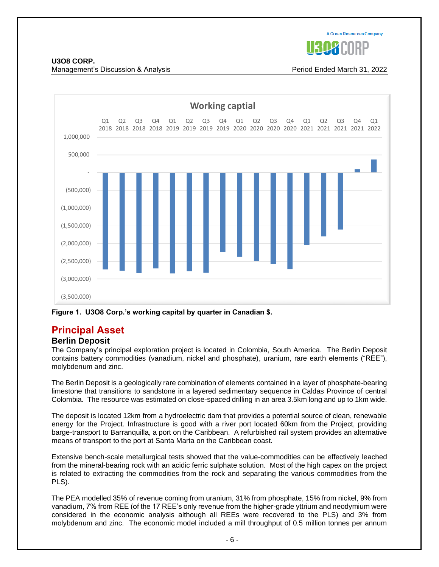

# **U3O8 CORP.**

Management's Discussion & Analysis Period Ended March 31, 2022



**Figure 1. U3O8 Corp.'s working capital by quarter in Canadian \$.**

# **Principal Asset**

# **Berlin Deposit**

The Company's principal exploration project is located in Colombia, South America. The Berlin Deposit contains battery commodities (vanadium, nickel and phosphate), uranium, rare earth elements ("REE"), molybdenum and zinc.

The Berlin Deposit is a geologically rare combination of elements contained in a layer of phosphate-bearing limestone that transitions to sandstone in a layered sedimentary sequence in Caldas Province of central Colombia. The resource was estimated on close-spaced drilling in an area 3.5km long and up to 1km wide.

The deposit is located 12km from a hydroelectric dam that provides a potential source of clean, renewable energy for the Project. Infrastructure is good with a river port located 60km from the Project, providing barge-transport to Barranquilla, a port on the Caribbean. A refurbished rail system provides an alternative means of transport to the port at Santa Marta on the Caribbean coast.

Extensive bench-scale metallurgical tests showed that the value-commodities can be effectively leached from the mineral-bearing rock with an acidic ferric sulphate solution. Most of the high capex on the project is related to extracting the commodities from the rock and separating the various commodities from the PLS).

The PEA modelled 35% of revenue coming from uranium, 31% from phosphate, 15% from nickel, 9% from vanadium, 7% from REE (of the 17 REE's only revenue from the higher-grade yttrium and neodymium were considered in the economic analysis although all REEs were recovered to the PLS) and 3% from molybdenum and zinc. The economic model included a mill throughput of 0.5 million tonnes per annum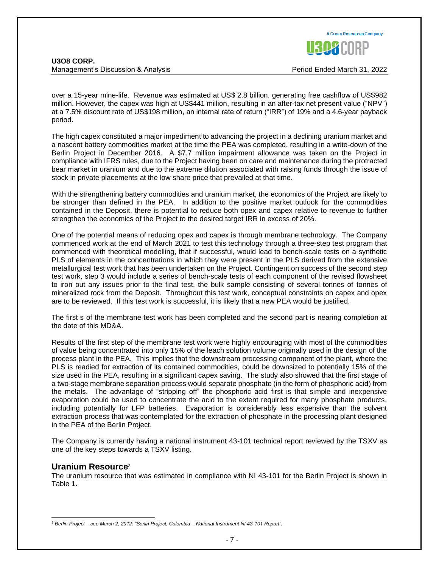over a 15-year mine-life. Revenue was estimated at US\$ 2.8 billion, generating free cashflow of US\$982 million. However, the capex was high at US\$441 million, resulting in an after-tax net present value ("NPV") at a 7.5% discount rate of US\$198 million, an internal rate of return ("IRR") of 19% and a 4.6-year payback period.

The high capex constituted a major impediment to advancing the project in a declining uranium market and a nascent battery commodities market at the time the PEA was completed, resulting in a write-down of the Berlin Project in December 2016. A \$7.7 million impairment allowance was taken on the Project in compliance with IFRS rules, due to the Project having been on care and maintenance during the protracted bear market in uranium and due to the extreme dilution associated with raising funds through the issue of stock in private placements at the low share price that prevailed at that time.

With the strengthening battery commodities and uranium market, the economics of the Project are likely to be stronger than defined in the PEA. In addition to the positive market outlook for the commodities contained in the Deposit, there is potential to reduce both opex and capex relative to revenue to further strengthen the economics of the Project to the desired target IRR in excess of 20%.

One of the potential means of reducing opex and capex is through membrane technology. The Company commenced work at the end of March 2021 to test this technology through a three-step test program that commenced with theoretical modelling, that if successful, would lead to bench-scale tests on a synthetic PLS of elements in the concentrations in which they were present in the PLS derived from the extensive metallurgical test work that has been undertaken on the Project. Contingent on success of the second step test work, step 3 would include a series of bench-scale tests of each component of the revised flowsheet to iron out any issues prior to the final test, the bulk sample consisting of several tonnes of tonnes of mineralized rock from the Deposit. Throughout this test work, conceptual constraints on capex and opex are to be reviewed. If this test work is successful, it is likely that a new PEA would be justified.

The first s of the membrane test work has been completed and the second part is nearing completion at the date of this MD&A.

Results of the first step of the membrane test work were highly encouraging with most of the commodities of value being concentrated into only 15% of the leach solution volume originally used in the design of the process plant in the PEA. This implies that the downstream processing component of the plant, where the PLS is readied for extraction of its contained commodities, could be downsized to potentially 15% of the size used in the PEA, resulting in a significant capex saving. The study also showed that the first stage of a two-stage membrane separation process would separate phosphate (in the form of phosphoric acid) from the metals. The advantage of "stripping off" the phosphoric acid first is that simple and inexpensive evaporation could be used to concentrate the acid to the extent required for many phosphate products, including potentially for LFP batteries. Evaporation is considerably less expensive than the solvent extraction process that was contemplated for the extraction of phosphate in the processing plant designed in the PEA of the Berlin Project.

The Company is currently having a national instrument 43-101 technical report reviewed by the TSXV as one of the key steps towards a TSXV listing.

## **Uranium Resource**<sup>3</sup>

The uranium resource that was estimated in compliance with NI 43-101 for the Berlin Project is shown in Table 1.



<sup>3</sup> *Berlin Project – see March 2, 2012: "Berlin Project, Colombia – National Instrument NI 43-101 Report".*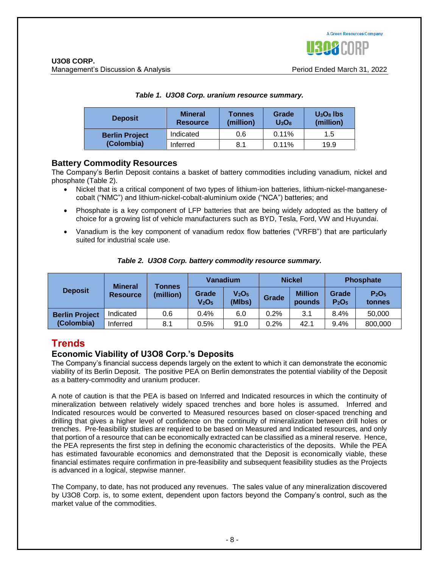

| <b>Deposit</b>        | <b>Mineral</b><br><b>Resource</b> | <b>Tonnes</b><br>(million) | Grade<br>$U_3O_8$ | $U3O8$ lbs<br>(million) |  |
|-----------------------|-----------------------------------|----------------------------|-------------------|-------------------------|--|
| <b>Berlin Project</b> | Indicated                         | 0.6                        | 0.11%             | 1.5                     |  |
| (Colombia)            | Inferred                          | 8.1                        | 0.11%             | 19.9                    |  |

#### *Table 1. U3O8 Corp. uranium resource summary.*

# **Battery Commodity Resources**

The Company's Berlin Deposit contains a basket of battery commodities including vanadium, nickel and phosphate (Table 2).

- Nickel that is a critical component of two types of lithium-ion batteries, lithium-nickel-manganesecobalt ("NMC") and lithium-nickel-cobalt-aluminium oxide ("NCA") batteries; and
- Phosphate is a key component of LFP batteries that are being widely adopted as the battery of choice for a growing list of vehicle manufacturers such as BYD, Tesla, Ford, VW and Huyundai.
- Vanadium is the key component of vanadium redox flow batteries ("VRFB") that are particularly suited for industrial scale use.

|  | Table 2. U3O8 Corp. battery commodity resource summary. |
|--|---------------------------------------------------------|
|--|---------------------------------------------------------|

|                       | <b>Mineral</b><br>Tonnes |           | Vanadium                               |                                         | <b>Nickel</b> |                          | <b>Phosphate</b>                       |                                         |
|-----------------------|--------------------------|-----------|----------------------------------------|-----------------------------------------|---------------|--------------------------|----------------------------------------|-----------------------------------------|
| <b>Deposit</b>        | <b>Resource</b>          | (million) | Grade<br>V <sub>2</sub> O <sub>5</sub> | V <sub>2</sub> O <sub>5</sub><br>(MIbs) | Grade         | <b>Million</b><br>pounds | Grade<br>P <sub>2</sub> O <sub>5</sub> | P <sub>2</sub> O <sub>5</sub><br>tonnes |
| <b>Berlin Project</b> | Indicated                | 0.6       | 0.4%                                   | 6.0                                     | 0.2%          | 3.1                      | 8.4%                                   | 50,000                                  |
| (Colombia)            | Inferred                 | 8.1       | 0.5%                                   | 91.0                                    | 0.2%          | 42.1                     | 9.4%                                   | 800,000                                 |

# **Trends**

# **Economic Viability of U3O8 Corp.'s Deposits**

The Company's financial success depends largely on the extent to which it can demonstrate the economic viability of its Berlin Deposit. The positive PEA on Berlin demonstrates the potential viability of the Deposit as a battery-commodity and uranium producer.

A note of caution is that the PEA is based on Inferred and Indicated resources in which the continuity of mineralization between relatively widely spaced trenches and bore holes is assumed. Inferred and Indicated resources would be converted to Measured resources based on closer-spaced trenching and drilling that gives a higher level of confidence on the continuity of mineralization between drill holes or trenches. Pre-feasibility studies are required to be based on Measured and Indicated resources, and only that portion of a resource that can be economically extracted can be classified as a mineral reserve. Hence, the PEA represents the first step in defining the economic characteristics of the deposits. While the PEA has estimated favourable economics and demonstrated that the Deposit is economically viable, these financial estimates require confirmation in pre-feasibility and subsequent feasibility studies as the Projects is advanced in a logical, stepwise manner.

The Company, to date, has not produced any revenues. The sales value of any mineralization discovered by U3O8 Corp. is, to some extent, dependent upon factors beyond the Company's control, such as the market value of the commodities.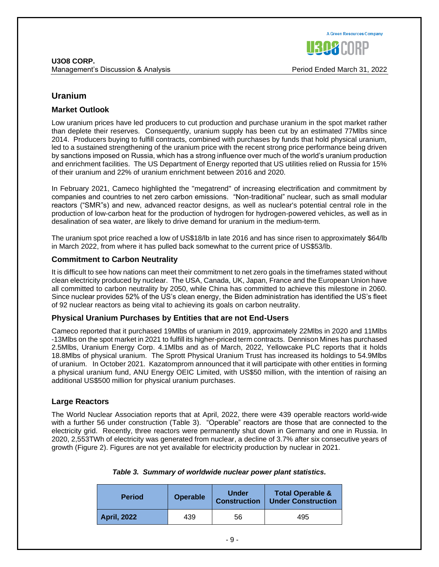

# **Uranium**

## **Market Outlook**

Low uranium prices have led producers to cut production and purchase uranium in the spot market rather than deplete their reserves. Consequently, uranium supply has been cut by an estimated 77Mlbs since 2014. Producers buying to fulfill contracts, combined with purchases by funds that hold physical uranium, led to a sustained strengthening of the uranium price with the recent strong price performance being driven by sanctions imposed on Russia, which has a strong influence over much of the world's uranium production and enrichment facilities. The US Department of Energy reported that US utilities relied on Russia for 15% of their uranium and 22% of uranium enrichment between 2016 and 2020.

In February 2021, Cameco highlighted the "megatrend" of increasing electrification and commitment by companies and countries to net zero carbon emissions. "Non-traditional" nuclear, such as small modular reactors ("SMR"s) and new, advanced reactor designs, as well as nuclear's potential central role in the production of low-carbon heat for the production of hydrogen for hydrogen-powered vehicles, as well as in desalination of sea water, are likely to drive demand for uranium in the medium-term.

The uranium spot price reached a low of US\$18/lb in late 2016 and has since risen to approximately \$64/lb in March 2022, from where it has pulled back somewhat to the current price of US\$53/lb.

#### **Commitment to Carbon Neutrality**

It is difficult to see how nations can meet their commitment to net zero goals in the timeframes stated without clean electricity produced by nuclear. The USA, Canada, UK, Japan, France and the European Union have all committed to carbon neutrality by 2050, while China has committed to achieve this milestone in 2060. Since nuclear provides 52% of the US's clean energy, the Biden administration has identified the US's fleet of 92 nuclear reactors as being vital to achieving its goals on carbon neutrality.

#### **Physical Uranium Purchases by Entities that are not End-Users**

Cameco reported that it purchased 19Mlbs of uranium in 2019, approximately 22Mlbs in 2020 and 11Mlbs -13Mlbs on the spot market in 2021 to fulfill its higher-priced term contracts. Dennison Mines has purchased 2.5Mlbs, Uranium Energy Corp. 4.1Mlbs and as of March, 2022, Yellowcake PLC reports that it holds 18.8Mlbs of physical uranium. The Sprott Physical Uranium Trust has increased its holdings to 54.9Mlbs of uranium. In October 2021. Kazatomprom announced that it will participate with other entities in forming a physical uranium fund, ANU Energy OEIC Limited, with US\$50 million, with the intention of raising an additional US\$500 million for physical uranium purchases.

## **Large Reactors**

The World Nuclear Association reports that at April, 2022, there were 439 operable reactors world-wide with a further 56 under construction (Table 3). "Operable" reactors are those that are connected to the electricity grid. Recently, three reactors were permanently shut down in Germany and one in Russia. In 2020, 2,553TWh of electricity was generated from nuclear, a decline of 3.7% after six consecutive years of growth (Figure 2). Figures are not yet available for electricity production by nuclear in 2021.

| <b>Period</b>      | <b>Operable</b> | <b>Under</b><br><b>Construction</b> | <b>Total Operable &amp;</b><br><b>Under Construction</b> |
|--------------------|-----------------|-------------------------------------|----------------------------------------------------------|
| <b>April, 2022</b> | 439             | 56                                  | 495                                                      |

#### *Table 3. Summary of worldwide nuclear power plant statistics.*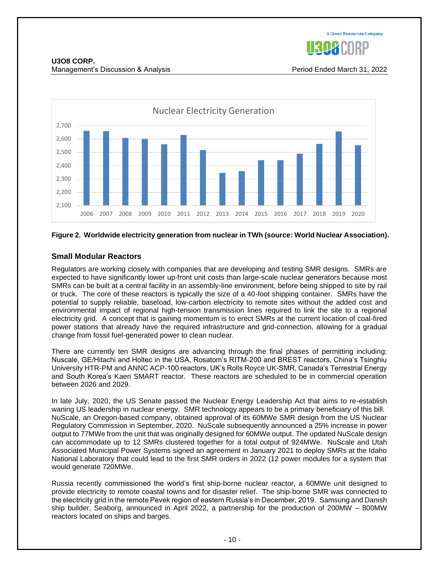

**U3O8 CORP.** Management's Discussion & Analysis Period Ended March 31, 2022



#### **Figure 2. Worldwide electricity generation from nuclear in TWh (source: World Nuclear Association).**

# **Small Modular Reactors**

Regulators are working closely with companies that are developing and testing SMR designs. SMRs are expected to have significantly lower up-front unit costs than large-scale nuclear generators because most SMRs can be built at a central facility in an assembly-line environment, before being shipped to site by rail or truck. The core of these reactors is typically the size of a 40-foot shipping container. SMRs have the potential to supply reliable, baseload, low-carbon electricity to remote sites without the added cost and environmental impact of regional high-tension transmission lines required to link the site to a regional electricity grid. A concept that is gaining momentum is to erect SMRs at the current location of coal-fired power stations that already have the required infrastructure and grid-connection, allowing for a gradual change from fossil fuel-generated power to clean nuclear.

There are currently ten SMR designs are advancing through the final phases of permitting including: Nuscale, GE/Hitachi and Holtec in the USA, Rosatom's RITM-200 and BREST reactors, China's Tsinghiu University HTR-PM and ANNC ACP-100 reactors, UK's Rolls Royce UK-SMR, Canada's Terrestrial Energy and South Korea's Kaeri SMART reactor. These reactors are scheduled to be in commercial operation between 2026 and 2029.

In late July, 2020, the US Senate passed the Nuclear Energy Leadership Act that aims to re-establish waning US leadership in nuclear energy. SMR technology appears to be a primary beneficiary of this bill. NuScale, an Oregon-based company, obtained approval of its 60MWe SMR design from the US Nuclear Regulatory Commission in September, 2020. NuScale subsequently announced a 25% increase in power output to 77MWe from the unit that was originally designed for 60MWe output. The updated NuScale design can accommodate up to 12 SMRs clustered together for a total output of 924MWe. NuScale and Utah Associated Municipal Power Systems signed an agreement in January 2021 to deploy SMRs at the Idaho National Laboratory that could lead to the first SMR orders in 2022 (12 power modules for a system that would generate 720MWe.

Russia recently commissioned the world's first ship-borne nuclear reactor, a 60MWe unit designed to provide electricity to remote coastal towns and for disaster relief. The ship-borne SMR was connected to the electricity grid in the remote Pevek region of eastern Russia's in December, 2019. Samsung and Danish ship builder, Seaborg, announced in April 2022, a partnership for the production of 200MW – 800MW reactors located on ships and barges.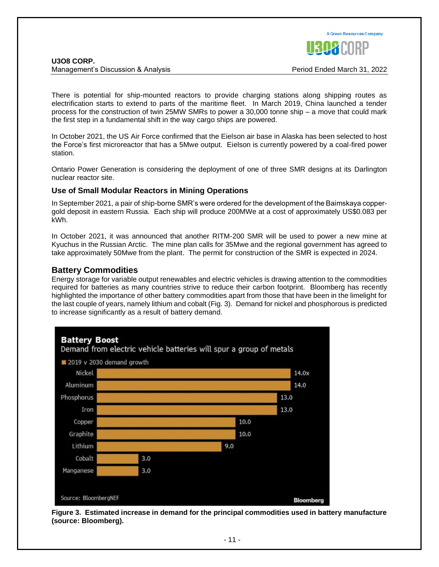

There is potential for ship-mounted reactors to provide charging stations along shipping routes as electrification starts to extend to parts of the maritime fleet. In March 2019, China launched a tender process for the construction of twin 25MW SMRs to power a 30,000 tonne ship – a move that could mark the first step in a fundamental shift in the way cargo ships are powered.

In October 2021, the US Air Force confirmed that the Eielson air base in Alaska has been selected to host the Force's first microreactor that has a 5Mwe output. Eielson is currently powered by a coal-fired power station.

Ontario Power Generation is considering the deployment of one of three SMR designs at its Darlington nuclear reactor site.

# **Use of Small Modular Reactors in Mining Operations**

In September 2021, a pair of ship-borne SMR's were ordered for the development of the Baimskaya coppergold deposit in eastern Russia. Each ship will produce 200MWe at a cost of approximately US\$0.083 per kWh.

In October 2021, it was announced that another RITM-200 SMR will be used to power a new mine at Kyuchus in the Russian Arctic. The mine plan calls for 35Mwe and the regional government has agreed to take approximately 50Mwe from the plant. The permit for construction of the SMR is expected in 2024.

# **Battery Commodities**

Energy storage for variable output renewables and electric vehicles is drawing attention to the commodities required for batteries as many countries strive to reduce their carbon footprint. Bloomberg has recently highlighted the importance of other battery commodities apart from those that have been in the limelight for the last couple of years, namely lithium and cobalt (Fig. 3). Demand for nickel and phosphorous is predicted to increase significantly as a result of battery demand.



**Figure 3. Estimated increase in demand for the principal commodities used in battery manufacture (source: Bloomberg).**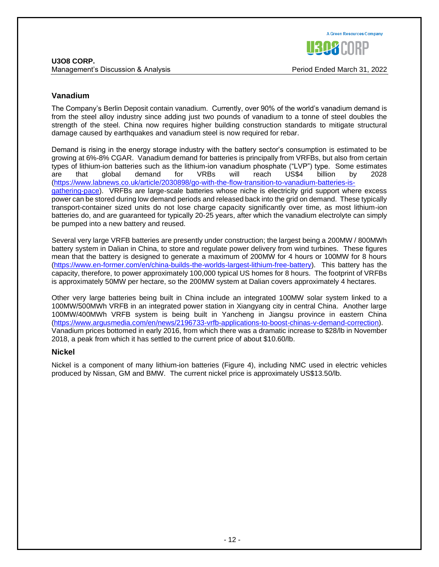The Company's Berlin Deposit contain vanadium. Currently, over 90% of the world's vanadium demand is from the steel alloy industry since adding just two pounds of vanadium to a tonne of steel doubles the strength of the steel. China now requires higher building construction standards to mitigate structural damage caused by earthquakes and vanadium steel is now required for rebar.

Demand is rising in the energy storage industry with the battery sector's consumption is estimated to be growing at 6%-8% CGAR. Vanadium demand for batteries is principally from VRFBs, but also from certain types of lithium-ion batteries such as the lithium-ion vanadium phosphate ("LVP") type. Some estimates are that global demand for VRBs will reach US\$4 billion by 2028 [\(https://www.labnews.co.uk/article/2030898/go-with-the-flow-transition-to-vanadium-batteries-is](https://www.labnews.co.uk/article/2030898/go-with-the-flow-transition-to-vanadium-batteries-is-gathering-pace)[gathering-pace\)](https://www.labnews.co.uk/article/2030898/go-with-the-flow-transition-to-vanadium-batteries-is-gathering-pace). VRFBs are large-scale batteries whose niche is electricity grid support where excess power can be stored during low demand periods and released back into the grid on demand. These typically transport-container sized units do not lose charge capacity significantly over time, as most lithium-ion batteries do, and are guaranteed for typically 20-25 years, after which the vanadium electrolyte can simply be pumped into a new battery and reused.

Several very large VRFB batteries are presently under construction; the largest being a 200MW / 800MWh battery system in Dalian in China, to store and regulate power delivery from wind turbines. These figures mean that the battery is designed to generate a maximum of 200MW for 4 hours or 100MW for 8 hours [\(https://www.en-former.com/en/china-builds-the-worlds-largest-lithium-free-battery\)](https://www.en-former.com/en/china-builds-the-worlds-largest-lithium-free-battery). This battery has the capacity, therefore, to power approximately 100,000 typical US homes for 8 hours. The footprint of VRFBs is approximately 50MW per hectare, so the 200MW system at Dalian covers approximately 4 hectares.

Other very large batteries being built in China include an integrated 100MW solar system linked to a 100MW/500MWh VRFB in an integrated power station in Xiangyang city in central China. Another large 100MW/400MWh VRFB system is being built in Yancheng in Jiangsu province in eastern China [\(https://www.argusmedia.com/en/news/2196733-vrfb-applications-to-boost-chinas-v-demand-correction\)](https://www.argusmedia.com/en/news/2196733-vrfb-applications-to-boost-chinas-v-demand-correction). Vanadium prices bottomed in early 2016, from which there was a dramatic increase to \$28/lb in November 2018, a peak from which it has settled to the current price of about \$10.60/lb.

# **Nickel**

Nickel is a component of many lithium-ion batteries (Figure 4), including NMC used in electric vehicles produced by Nissan, GM and BMW. The current nickel price is approximately US\$13.50/lb.

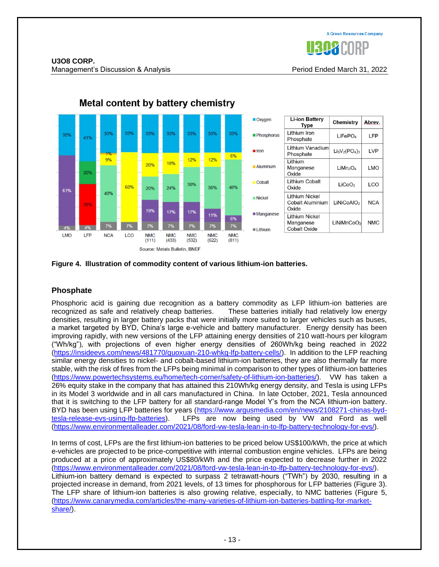



# Metal content by battery chemistry



# **Phosphate**

Phosphoric acid is gaining due recognition as a battery commodity as LFP lithium-ion batteries are recognized as safe and relatively cheap batteries. These batteries initially had relatively low energy densities, resulting in larger battery packs that were initially more suited to larger vehicles such as buses, a market targeted by BYD, China's large e-vehicle and battery manufacturer. Energy density has been improving rapidly, with new versions of the LFP attaining energy densities of 210 watt-hours per kilogram ("Wh/kg"), with projections of even higher energy densities of 260Wh/kg being reached in 2022 [\(https://insideevs.com/news/481770/guoxuan-210-whkg-lfp-battery-cells/\)](https://insideevs.com/news/481770/guoxuan-210-whkg-lfp-battery-cells/). In addition to the LFP reaching similar energy densities to nickel- and cobalt-based lithium-ion batteries, they are also thermally far more stable, with the risk of fires from the LFPs being minimal in comparison to other types of lithium-ion batteries [\(https://www.powertechsystems.eu/home/tech-corner/safety-of-lithium-ion-batteries/\)](https://www.powertechsystems.eu/home/tech-corner/safety-of-lithium-ion-batteries/). VW has taken a 26% equity stake in the company that has attained this 210Wh/kg energy density, and Tesla is using LFPs in its Model 3 worldwide and in all cars manufactured in China. In late October, 2021, Tesla announced that it is switching to the LFP battery for all standard-range Model Y's from the NCA lithium-ion battery. BYD has been using LFP batteries for years [\(https://www.argusmedia.com/en/news/2108271-chinas-byd](https://www.argusmedia.com/en/news/2108271-chinas-byd-tesla-release-evs-using-lfp-batteries)[tesla-release-evs-using-lfp-batteries\)](https://www.argusmedia.com/en/news/2108271-chinas-byd-tesla-release-evs-using-lfp-batteries). LFPs are now being used by VW and Ford as well [\(https://www.environmentalleader.com/2021/08/ford-vw-tesla-lean-in-to-lfp-battery-technology-for-evs/\)](https://www.environmentalleader.com/2021/08/ford-vw-tesla-lean-in-to-lfp-battery-technology-for-evs/).

In terms of cost, LFPs are the first lithium-ion batteries to be priced below US\$100/kWh, the price at which e-vehicles are projected to be price-competitive with internal combustion engine vehicles. LFPs are being produced at a price of approximately US\$80/kWh and the price expected to decrease further in 2022 [\(https://www.environmentalleader.com/2021/08/ford-vw-tesla-lean-in-to-lfp-battery-technology-for-evs/\)](https://www.environmentalleader.com/2021/08/ford-vw-tesla-lean-in-to-lfp-battery-technology-for-evs/). Lithium-ion battery demand is expected to surpass 2 tetrawatt-hours ("TWh") by 2030, resulting in a projected increase in demand, from 2021 levels, of 13 times for phosphorous for LFP batteries (Figure 3). The LFP share of lithium-ion batteries is also growing relative, especially, to NMC batteries (Figure 5, [\(https://www.canarymedia.com/articles/the-many-varieties-of-lithium-ion-batteries-battling-for-market](https://www.canarymedia.com/articles/the-many-varieties-of-lithium-ion-batteries-battling-for-market-share/)[share/\)](https://www.canarymedia.com/articles/the-many-varieties-of-lithium-ion-batteries-battling-for-market-share/).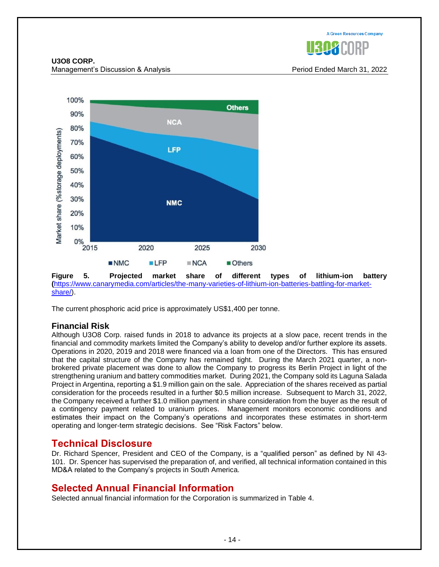

**U3O8 CORP.** Management's Discussion & Analysis Period Ended March 31, 2022



**Figure 5. Projected market share of different types of lithium-ion battery (**[https://www.canarymedia.com/articles/the-many-varieties-of-lithium-ion-batteries-battling-for-market](https://www.canarymedia.com/articles/the-many-varieties-of-lithium-ion-batteries-battling-for-market-share/)[share/\)](https://www.canarymedia.com/articles/the-many-varieties-of-lithium-ion-batteries-battling-for-market-share/).

The current phosphoric acid price is approximately US\$1,400 per tonne.

# **Financial Risk**

Although U3O8 Corp. raised funds in 2018 to advance its projects at a slow pace, recent trends in the financial and commodity markets limited the Company's ability to develop and/or further explore its assets. Operations in 2020, 2019 and 2018 were financed via a loan from one of the Directors. This has ensured that the capital structure of the Company has remained tight. During the March 2021 quarter, a nonbrokered private placement was done to allow the Company to progress its Berlin Project in light of the strengthening uranium and battery commodities market. During 2021, the Company sold its Laguna Salada Project in Argentina, reporting a \$1.9 million gain on the sale. Appreciation of the shares received as partial consideration for the proceeds resulted in a further \$0.5 million increase. Subsequent to March 31, 2022, the Company received a further \$1.0 million payment in share consideration from the buyer as the result of a contingency payment related to uranium prices. Management monitors economic conditions and estimates their impact on the Company's operations and incorporates these estimates in short-term operating and longer-term strategic decisions. See "Risk Factors" below.

# **Technical Disclosure**

Dr. Richard Spencer, President and CEO of the Company, is a "qualified person" as defined by NI 43- 101. Dr. Spencer has supervised the preparation of, and verified, all technical information contained in this MD&A related to the Company's projects in South America.

# **Selected Annual Financial Information**

Selected annual financial information for the Corporation is summarized in Table 4.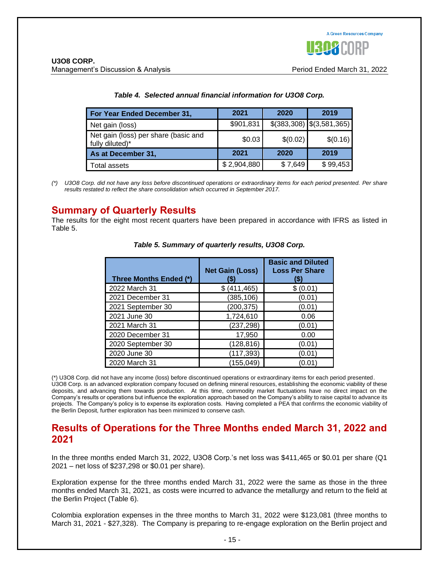| For Year Ended December 31,                             | 2021        | 2020     | 2019                        |
|---------------------------------------------------------|-------------|----------|-----------------------------|
| Net gain (loss)                                         | \$901,831   |          | $$(383,308)$ $$(3,581,365)$ |
| Net gain (loss) per share (basic and<br>fully diluted)* | \$0.03      | \$(0.02) | \$(0.16)                    |
| As at December 31,                                      | 2021        | 2020     | 2019                        |
| Total assets                                            | \$2,904,880 | \$7,649  | \$99,453                    |

#### *Table 4. Selected annual financial information for U3O8 Corp.*

*(\*) U3O8 Corp. did not have any loss before discontinued operations or extraordinary items for each period presented. Per share results restated to reflect the share consolidation which occurred in September 2017.*

# **Summary of Quarterly Results**

The results for the eight most recent quarters have been prepared in accordance with IFRS as listed in Table 5.

| Three Months Ended (*) | <b>Net Gain (Loss)</b> | <b>Basic and Diluted</b><br><b>Loss Per Share</b><br>(\$) |
|------------------------|------------------------|-----------------------------------------------------------|
| 2022 March 31          | \$ (411, 465)          | \$(0.01)                                                  |
| 2021 December 31       | (385, 106)             | (0.01)                                                    |
| 2021 September 30      | (200, 375)             | (0.01)                                                    |
| 2021 June 30           | 1,724,610              | 0.06                                                      |
| 2021 March 31          | (237, 298)             | (0.01)                                                    |
| 2020 December 31       | 17,950                 | 0.00                                                      |
| 2020 September 30      | (128, 816)             | (0.01)                                                    |
| 2020 June 30           | (117, 393)             | (0.01)                                                    |
| 2020 March 31          | (155, 049)             | (0.01)                                                    |

*Table 5. Summary of quarterly results, U3O8 Corp.*

(\*) U3O8 Corp. did not have any income (loss) before discontinued operations or extraordinary items for each period presented. U3O8 Corp. is an advanced exploration company focused on defining mineral resources, establishing the economic viability of these deposits, and advancing them towards production. At this time, commodity market fluctuations have no direct impact on the Company's results or operations but influence the exploration approach based on the Company's ability to raise capital to advance its projects. The Company's policy is to expense its exploration costs. Having completed a PEA that confirms the economic viability of the Berlin Deposit, further exploration has been minimized to conserve cash.

# **Results of Operations for the Three Months ended March 31, 2022 and 2021**

In the three months ended March 31, 2022, U3O8 Corp.'s net loss was \$411,465 or \$0.01 per share (Q1 2021 – net loss of \$237,298 or \$0.01 per share).

Exploration expense for the three months ended March 31, 2022 were the same as those in the three months ended March 31, 2021, as costs were incurred to advance the metallurgy and return to the field at the Berlin Project (Table 6).

Colombia exploration expenses in the three months to March 31, 2022 were \$123,081 (three months to March 31, 2021 - \$27,328). The Company is preparing to re-engage exploration on the Berlin project and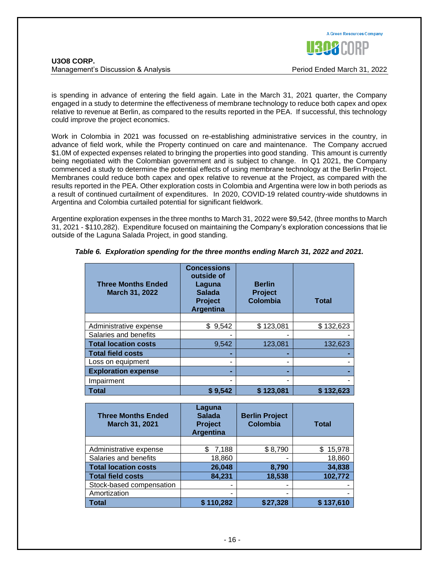

is spending in advance of entering the field again. Late in the March 31, 2021 quarter, the Company engaged in a study to determine the effectiveness of membrane technology to reduce both capex and opex relative to revenue at Berlin, as compared to the results reported in the PEA. If successful, this technology could improve the project economics.

Work in Colombia in 2021 was focussed on re-establishing administrative services in the country, in advance of field work, while the Property continued on care and maintenance. The Company accrued \$1.0M of expected expenses related to bringing the properties into good standing. This amount is currently being negotiated with the Colombian government and is subject to change. In Q1 2021, the Company commenced a study to determine the potential effects of using membrane technology at the Berlin Project. Membranes could reduce both capex and opex relative to revenue at the Project, as compared with the results reported in the PEA. Other exploration costs in Colombia and Argentina were low in both periods as a result of continued curtailment of expenditures. In 2020, COVID-19 related country-wide shutdowns in Argentina and Colombia curtailed potential for significant fieldwork.

Argentine exploration expenses in the three months to March 31, 2022 were \$9,542, (three months to March 31, 2021 - \$110,282). Expenditure focused on maintaining the Company's exploration concessions that lie outside of the Laguna Salada Project, in good standing.

| <b>Three Months Ended</b><br><b>March 31, 2022</b> | <b>Concessions</b><br>outside of<br>Laguna<br><b>Salada</b><br><b>Project</b><br><b>Argentina</b> | <b>Berlin</b><br><b>Project</b><br><b>Colombia</b> | <b>Total</b> |
|----------------------------------------------------|---------------------------------------------------------------------------------------------------|----------------------------------------------------|--------------|
|                                                    |                                                                                                   |                                                    |              |
| Administrative expense                             | 9,542<br>\$                                                                                       | \$123,081                                          | \$132,623    |
| Salaries and benefits                              |                                                                                                   | -                                                  |              |
| <b>Total location costs</b>                        | 9,542                                                                                             | 123,081                                            | 132,623      |
| <b>Total field costs</b>                           |                                                                                                   |                                                    |              |
| Loss on equipment                                  | ۰                                                                                                 | ۰                                                  |              |
| <b>Exploration expense</b>                         |                                                                                                   |                                                    |              |
| Impairment                                         | ۰                                                                                                 |                                                    |              |
| Total                                              | \$9,542                                                                                           | \$123,081                                          | \$132,623    |

*Table 6. Exploration spending for the three months ending March 31, 2022 and 2021.*

| <b>Three Months Ended</b><br>March 31, 2021 | Laguna<br><b>Salada</b><br><b>Project</b><br><b>Argentina</b> | <b>Berlin Project</b><br><b>Colombia</b> | <b>Total</b> |
|---------------------------------------------|---------------------------------------------------------------|------------------------------------------|--------------|
|                                             |                                                               |                                          |              |
| Administrative expense                      | 7,188                                                         | \$8,790                                  | \$15,978     |
| Salaries and benefits                       | 18,860                                                        | -                                        | 18,860       |
| <b>Total location costs</b>                 | 26,048                                                        | 8,790                                    | 34,838       |
| <b>Total field costs</b>                    | 84,231                                                        | 18,538                                   | 102,772      |
| Stock-based compensation                    |                                                               | ۰                                        |              |
| Amortization                                |                                                               | -                                        |              |
| <b>Total</b>                                | \$110,282                                                     | \$27,328                                 | \$137,610    |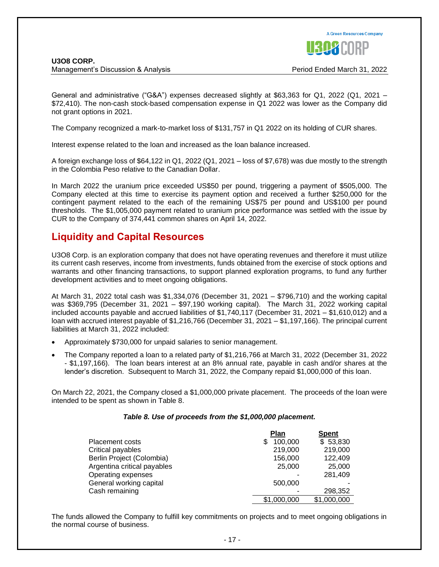

General and administrative ("G&A") expenses decreased slightly at \$63,363 for Q1, 2022 (Q1, 2021 – \$72,410). The non-cash stock-based compensation expense in Q1 2022 was lower as the Company did not grant options in 2021.

The Company recognized a mark-to-market loss of \$131,757 in Q1 2022 on its holding of CUR shares.

Interest expense related to the loan and increased as the loan balance increased.

A foreign exchange loss of \$64,122 in Q1, 2022 (Q1, 2021 – loss of \$7,678) was due mostly to the strength in the Colombia Peso relative to the Canadian Dollar.

In March 2022 the uranium price exceeded US\$50 per pound, triggering a payment of \$505,000. The Company elected at this time to exercise its payment option and received a further \$250,000 for the contingent payment related to the each of the remaining US\$75 per pound and US\$100 per pound thresholds. The \$1,005,000 payment related to uranium price performance was settled with the issue by CUR to the Company of 374,441 common shares on April 14, 2022.

# **Liquidity and Capital Resources**

U3O8 Corp. is an exploration company that does not have operating revenues and therefore it must utilize its current cash reserves, income from investments, funds obtained from the exercise of stock options and warrants and other financing transactions, to support planned exploration programs, to fund any further development activities and to meet ongoing obligations.

At March 31, 2022 total cash was \$1,334,076 (December 31, 2021 – \$796,710) and the working capital was \$369,795 (December 31, 2021 – \$97,190 working capital). The March 31, 2022 working capital included accounts payable and accrued liabilities of \$1,740,117 (December 31, 2021 – \$1,610,012) and a loan with accrued interest payable of \$1,216,766 (December 31, 2021 – \$1,197,166). The principal current liabilities at March 31, 2022 included:

- Approximately \$730,000 for unpaid salaries to senior management.
- The Company reported a loan to a related party of \$1,216,766 at March 31, 2022 (December 31, 2022 - \$1,197,166). The loan bears interest at an 8% annual rate, payable in cash and/or shares at the lender's discretion. Subsequent to March 31, 2022, the Company repaid \$1,000,000 of this loan.

On March 22, 2021, the Company closed a \$1,000,000 private placement. The proceeds of the loan were intended to be spent as shown in Table 8.

#### *Table 8. Use of proceeds from the \$1,000,000 placement.*

|                             | <b>Plan</b> | <b>Spent</b> |
|-----------------------------|-------------|--------------|
| <b>Placement costs</b>      | 100,000     | \$53,830     |
| Critical payables           | 219,000     | 219,000      |
| Berlin Project (Colombia)   | 156,000     | 122,409      |
| Argentina critical payables | 25,000      | 25,000       |
| Operating expenses          |             | 281,409      |
| General working capital     | 500,000     |              |
| Cash remaining              |             | 298,352      |
|                             | \$1,000,000 | \$1,000,000  |

The funds allowed the Company to fulfill key commitments on projects and to meet ongoing obligations in the normal course of business.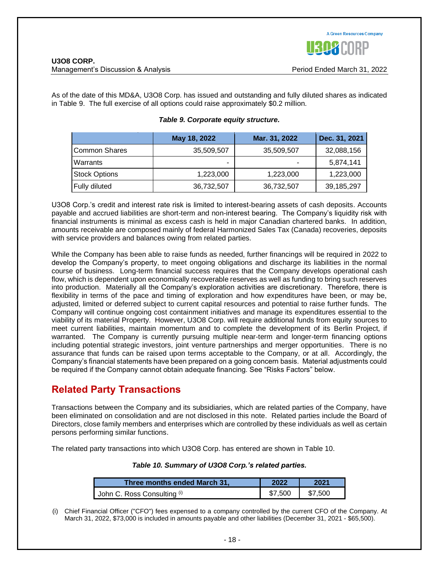As of the date of this MD&A, U3O8 Corp. has issued and outstanding and fully diluted shares as indicated in Table 9. The full exercise of all options could raise approximately \$0.2 million.

|                      | May 18, 2022 | Mar. 31, 2022 | Dec. 31, 2021 |
|----------------------|--------------|---------------|---------------|
| Common Shares        | 35,509,507   | 35,509,507    | 32,088,156    |
| Warrants             | -            |               | 5,874,141     |
| <b>Stock Options</b> | 1,223,000    | 1,223,000     | 1,223,000     |
| Fully diluted        | 36,732,507   | 36,732,507    | 39,185,297    |

## *Table 9. Corporate equity structure.*

U3O8 Corp.'s credit and interest rate risk is limited to interest-bearing assets of cash deposits. Accounts payable and accrued liabilities are short-term and non-interest bearing. The Company's liquidity risk with financial instruments is minimal as excess cash is held in major Canadian chartered banks. In addition, amounts receivable are composed mainly of federal Harmonized Sales Tax (Canada) recoveries, deposits with service providers and balances owing from related parties.

While the Company has been able to raise funds as needed, further financings will be required in 2022 to develop the Company's property, to meet ongoing obligations and discharge its liabilities in the normal course of business. Long-term financial success requires that the Company develops operational cash flow, which is dependent upon economically recoverable reserves as well as funding to bring such reserves into production. Materially all the Company's exploration activities are discretionary. Therefore, there is flexibility in terms of the pace and timing of exploration and how expenditures have been, or may be, adjusted, limited or deferred subject to current capital resources and potential to raise further funds. The Company will continue ongoing cost containment initiatives and manage its expenditures essential to the viability of its material Property. However, U3O8 Corp. will require additional funds from equity sources to meet current liabilities, maintain momentum and to complete the development of its Berlin Project, if warranted. The Company is currently pursuing multiple near-term and longer-term financing options including potential strategic investors, joint venture partnerships and merger opportunities. There is no assurance that funds can be raised upon terms acceptable to the Company, or at all. Accordingly, the Company's financial statements have been prepared on a going concern basis. Material adjustments could be required if the Company cannot obtain adequate financing. See "Risks Factors" below.

# **Related Party Transactions**

Transactions between the Company and its subsidiaries, which are related parties of the Company, have been eliminated on consolidation and are not disclosed in this note. Related parties include the Board of Directors, close family members and enterprises which are controlled by these individuals as well as certain persons performing similar functions.

The related party transactions into which U3O8 Corp. has entered are shown in Table 10.

## *Table 10. Summary of U3O8 Corp.'s related parties.*

| Three months ended March 31, | 2022    | 2021    |
|------------------------------|---------|---------|
| John C. Ross Consulting (i)  | \$7.500 | \$7.500 |

(i) Chief Financial Officer ("CFO") fees expensed to a company controlled by the current CFO of the Company. At March 31, 2022, \$73,000 is included in amounts payable and other liabilities (December 31, 2021 - \$65,500).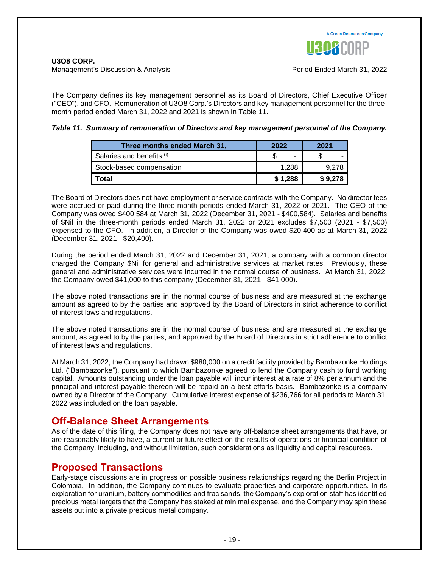

The Company defines its key management personnel as its Board of Directors, Chief Executive Officer ("CEO"), and CFO. Remuneration of U3O8 Corp.'s Directors and key management personnel for the threemonth period ended March 31, 2022 and 2021 is shown in Table 11.

## *Table 11. Summary of remuneration of Directors and key management personnel of the Company.*

| Three months ended March 31, | 2022    | 2021    |
|------------------------------|---------|---------|
| Salaries and benefits (i)    | -       |         |
| Stock-based compensation     | 1.288   | 9.278   |
| Total                        | \$1,288 | \$9,278 |

The Board of Directors does not have employment or service contracts with the Company. No director fees were accrued or paid during the three-month periods ended March 31, 2022 or 2021. The CEO of the Company was owed \$400,584 at March 31, 2022 (December 31, 2021 - \$400,584). Salaries and benefits of \$Nil in the three-month periods ended March 31, 2022 or 2021 excludes \$7,500 (2021 - \$7,500) expensed to the CFO. In addition, a Director of the Company was owed \$20,400 as at March 31, 2022 (December 31, 2021 - \$20,400).

During the period ended March 31, 2022 and December 31, 2021, a company with a common director charged the Company \$Nil for general and administrative services at market rates. Previously, these general and administrative services were incurred in the normal course of business. At March 31, 2022, the Company owed \$41,000 to this company (December 31, 2021 - \$41,000).

The above noted transactions are in the normal course of business and are measured at the exchange amount as agreed to by the parties and approved by the Board of Directors in strict adherence to conflict of interest laws and regulations.

The above noted transactions are in the normal course of business and are measured at the exchange amount, as agreed to by the parties, and approved by the Board of Directors in strict adherence to conflict of interest laws and regulations.

At March 31, 2022, the Company had drawn \$980,000 on a credit facility provided by Bambazonke Holdings Ltd. ("Bambazonke"), pursuant to which Bambazonke agreed to lend the Company cash to fund working capital. Amounts outstanding under the loan payable will incur interest at a rate of 8% per annum and the principal and interest payable thereon will be repaid on a best efforts basis. Bambazonke is a company owned by a Director of the Company. Cumulative interest expense of \$236,766 for all periods to March 31, 2022 was included on the loan payable.

# **Off-Balance Sheet Arrangements**

As of the date of this filing, the Company does not have any off-balance sheet arrangements that have, or are reasonably likely to have, a current or future effect on the results of operations or financial condition of the Company, including, and without limitation, such considerations as liquidity and capital resources.

# **Proposed Transactions**

Early-stage discussions are in progress on possible business relationships regarding the Berlin Project in Colombia. In addition, the Company continues to evaluate properties and corporate opportunities. In its exploration for uranium, battery commodities and frac sands, the Company's exploration staff has identified precious metal targets that the Company has staked at minimal expense, and the Company may spin these assets out into a private precious metal company.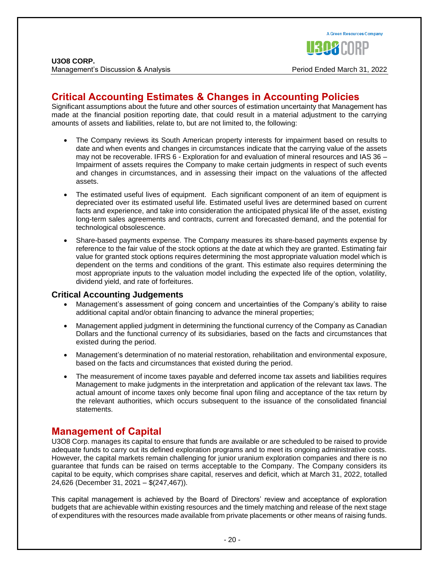# **Critical Accounting Estimates & Changes in Accounting Policies**

Significant assumptions about the future and other sources of estimation uncertainty that Management has made at the financial position reporting date, that could result in a material adjustment to the carrying amounts of assets and liabilities, relate to, but are not limited to, the following:

- The Company reviews its South American property interests for impairment based on results to date and when events and changes in circumstances indicate that the carrying value of the assets may not be recoverable. IFRS 6 - Exploration for and evaluation of mineral resources and IAS 36 – Impairment of assets requires the Company to make certain judgments in respect of such events and changes in circumstances, and in assessing their impact on the valuations of the affected assets.
- The estimated useful lives of equipment. Each significant component of an item of equipment is depreciated over its estimated useful life. Estimated useful lives are determined based on current facts and experience, and take into consideration the anticipated physical life of the asset, existing long-term sales agreements and contracts, current and forecasted demand, and the potential for technological obsolescence.
- Share-based payments expense. The Company measures its share-based payments expense by reference to the fair value of the stock options at the date at which they are granted. Estimating fair value for granted stock options requires determining the most appropriate valuation model which is dependent on the terms and conditions of the grant. This estimate also requires determining the most appropriate inputs to the valuation model including the expected life of the option, volatility, dividend yield, and rate of forfeitures.

# **Critical Accounting Judgements**

- Management's assessment of going concern and uncertainties of the Company's ability to raise additional capital and/or obtain financing to advance the mineral properties;
- Management applied judgment in determining the functional currency of the Company as Canadian Dollars and the functional currency of its subsidiaries, based on the facts and circumstances that existed during the period.
- Management's determination of no material restoration, rehabilitation and environmental exposure, based on the facts and circumstances that existed during the period.
- The measurement of income taxes payable and deferred income tax assets and liabilities requires Management to make judgments in the interpretation and application of the relevant tax laws. The actual amount of income taxes only become final upon filing and acceptance of the tax return by the relevant authorities, which occurs subsequent to the issuance of the consolidated financial statements.

# **Management of Capital**

U3O8 Corp. manages its capital to ensure that funds are available or are scheduled to be raised to provide adequate funds to carry out its defined exploration programs and to meet its ongoing administrative costs. However, the capital markets remain challenging for junior uranium exploration companies and there is no guarantee that funds can be raised on terms acceptable to the Company. The Company considers its capital to be equity, which comprises share capital, reserves and deficit, which at March 31, 2022, totalled 24,626 (December 31, 2021 – \$(247,467)).

This capital management is achieved by the Board of Directors' review and acceptance of exploration budgets that are achievable within existing resources and the timely matching and release of the next stage of expenditures with the resources made available from private placements or other means of raising funds.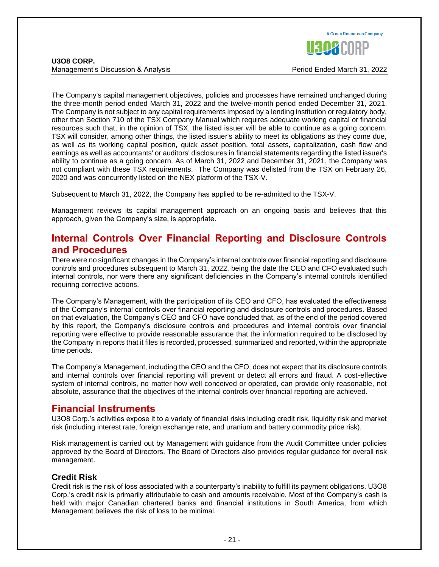

The Company's capital management objectives, policies and processes have remained unchanged during the three-month period ended March 31, 2022 and the twelve-month period ended December 31, 2021. The Company is not subject to any capital requirements imposed by a lending institution or regulatory body, other than Section 710 of the TSX Company Manual which requires adequate working capital or financial resources such that, in the opinion of TSX, the listed issuer will be able to continue as a going concern. TSX will consider, among other things, the listed issuer's ability to meet its obligations as they come due, as well as its working capital position, quick asset position, total assets, capitalization, cash flow and earnings as well as accountants' or auditors' disclosures in financial statements regarding the listed issuer's ability to continue as a going concern. As of March 31, 2022 and December 31, 2021, the Company was not compliant with these TSX requirements. The Company was delisted from the TSX on February 26, 2020 and was concurrently listed on the NEX platform of the TSX-V.

Subsequent to March 31, 2022, the Company has applied to be re-admitted to the TSX-V.

Management reviews its capital management approach on an ongoing basis and believes that this approach, given the Company's size, is appropriate.

# **Internal Controls Over Financial Reporting and Disclosure Controls and Procedures**

There were no significant changes in the Company's internal controls over financial reporting and disclosure controls and procedures subsequent to March 31, 2022, being the date the CEO and CFO evaluated such internal controls, nor were there any significant deficiencies in the Company's internal controls identified requiring corrective actions.

The Company's Management, with the participation of its CEO and CFO, has evaluated the effectiveness of the Company's internal controls over financial reporting and disclosure controls and procedures. Based on that evaluation, the Company's CEO and CFO have concluded that, as of the end of the period covered by this report, the Company's disclosure controls and procedures and internal controls over financial reporting were effective to provide reasonable assurance that the information required to be disclosed by the Company in reports that it files is recorded, processed, summarized and reported, within the appropriate time periods.

The Company's Management, including the CEO and the CFO, does not expect that its disclosure controls and internal controls over financial reporting will prevent or detect all errors and fraud. A cost-effective system of internal controls, no matter how well conceived or operated, can provide only reasonable, not absolute, assurance that the objectives of the internal controls over financial reporting are achieved.

# **Financial Instruments**

U3O8 Corp.'s activities expose it to a variety of financial risks including credit risk, liquidity risk and market risk (including interest rate, foreign exchange rate, and uranium and battery commodity price risk).

Risk management is carried out by Management with guidance from the Audit Committee under policies approved by the Board of Directors. The Board of Directors also provides regular guidance for overall risk management.

# **Credit Risk**

Credit risk is the risk of loss associated with a counterparty's inability to fulfill its payment obligations. U3O8 Corp.'s credit risk is primarily attributable to cash and amounts receivable. Most of the Company's cash is held with major Canadian chartered banks and financial institutions in South America, from which Management believes the risk of loss to be minimal.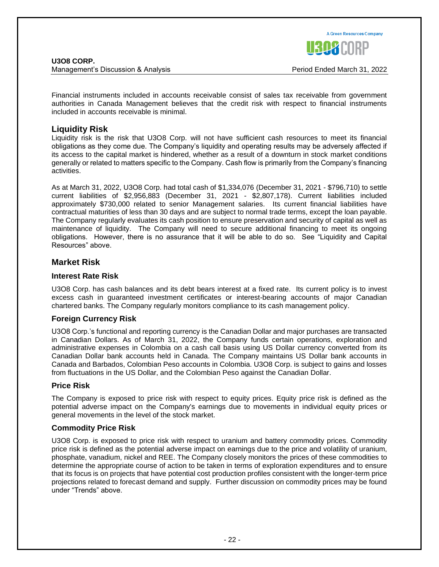

Financial instruments included in accounts receivable consist of sales tax receivable from government authorities in Canada Management believes that the credit risk with respect to financial instruments included in accounts receivable is minimal.

# **Liquidity Risk**

Liquidity risk is the risk that U3O8 Corp. will not have sufficient cash resources to meet its financial obligations as they come due. The Company's liquidity and operating results may be adversely affected if its access to the capital market is hindered, whether as a result of a downturn in stock market conditions generally or related to matters specific to the Company. Cash flow is primarily from the Company's financing activities.

As at March 31, 2022, U3O8 Corp. had total cash of \$1,334,076 (December 31, 2021 - \$796,710) to settle current liabilities of \$2,956,883 (December 31, 2021 - \$2,807,178). Current liabilities included approximately \$730,000 related to senior Management salaries. Its current financial liabilities have contractual maturities of less than 30 days and are subject to normal trade terms, except the loan payable. The Company regularly evaluates its cash position to ensure preservation and security of capital as well as maintenance of liquidity. The Company will need to secure additional financing to meet its ongoing obligations. However, there is no assurance that it will be able to do so. See "Liquidity and Capital Resources" above.

# **Market Risk**

#### **Interest Rate Risk**

U3O8 Corp. has cash balances and its debt bears interest at a fixed rate. Its current policy is to invest excess cash in guaranteed investment certificates or interest-bearing accounts of major Canadian chartered banks. The Company regularly monitors compliance to its cash management policy.

## **Foreign Currency Risk**

U3O8 Corp.'s functional and reporting currency is the Canadian Dollar and major purchases are transacted in Canadian Dollars. As of March 31, 2022, the Company funds certain operations, exploration and administrative expenses in Colombia on a cash call basis using US Dollar currency converted from its Canadian Dollar bank accounts held in Canada. The Company maintains US Dollar bank accounts in Canada and Barbados, Colombian Peso accounts in Colombia. U3O8 Corp. is subject to gains and losses from fluctuations in the US Dollar, and the Colombian Peso against the Canadian Dollar.

## **Price Risk**

The Company is exposed to price risk with respect to equity prices. Equity price risk is defined as the potential adverse impact on the Company's earnings due to movements in individual equity prices or general movements in the level of the stock market.

## **Commodity Price Risk**

U3O8 Corp. is exposed to price risk with respect to uranium and battery commodity prices. Commodity price risk is defined as the potential adverse impact on earnings due to the price and volatility of uranium, phosphate, vanadium, nickel and REE. The Company closely monitors the prices of these commodities to determine the appropriate course of action to be taken in terms of exploration expenditures and to ensure that its focus is on projects that have potential cost production profiles consistent with the longer-term price projections related to forecast demand and supply. Further discussion on commodity prices may be found under "Trends" above.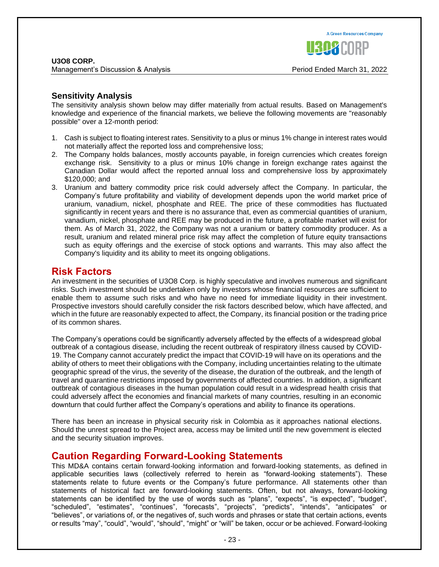# **Sensitivity Analysis**

The sensitivity analysis shown below may differ materially from actual results. Based on Management's knowledge and experience of the financial markets, we believe the following movements are "reasonably possible" over a 12-month period:

- 1. Cash is subject to floating interest rates. Sensitivity to a plus or minus 1% change in interest rates would not materially affect the reported loss and comprehensive loss;
- 2. The Company holds balances, mostly accounts payable, in foreign currencies which creates foreign exchange risk. Sensitivity to a plus or minus 10% change in foreign exchange rates against the Canadian Dollar would affect the reported annual loss and comprehensive loss by approximately \$120,000; and
- 3. Uranium and battery commodity price risk could adversely affect the Company. In particular, the Company's future profitability and viability of development depends upon the world market price of uranium, vanadium, nickel, phosphate and REE. The price of these commodities has fluctuated significantly in recent years and there is no assurance that, even as commercial quantities of uranium, vanadium, nickel, phosphate and REE may be produced in the future, a profitable market will exist for them. As of March 31, 2022, the Company was not a uranium or battery commodity producer. As a result, uranium and related mineral price risk may affect the completion of future equity transactions such as equity offerings and the exercise of stock options and warrants. This may also affect the Company's liquidity and its ability to meet its ongoing obligations.

# **Risk Factors**

An investment in the securities of U3O8 Corp. is highly speculative and involves numerous and significant risks. Such investment should be undertaken only by investors whose financial resources are sufficient to enable them to assume such risks and who have no need for immediate liquidity in their investment. Prospective investors should carefully consider the risk factors described below, which have affected, and which in the future are reasonably expected to affect, the Company, its financial position or the trading price of its common shares.

The Company's operations could be significantly adversely affected by the effects of a widespread global outbreak of a contagious disease, including the recent outbreak of respiratory illness caused by COVID-19. The Company cannot accurately predict the impact that COVID-19 will have on its operations and the ability of others to meet their obligations with the Company, including uncertainties relating to the ultimate geographic spread of the virus, the severity of the disease, the duration of the outbreak, and the length of travel and quarantine restrictions imposed by governments of affected countries. In addition, a significant outbreak of contagious diseases in the human population could result in a widespread health crisis that could adversely affect the economies and financial markets of many countries, resulting in an economic downturn that could further affect the Company's operations and ability to finance its operations.

There has been an increase in physical security risk in Colombia as it approaches national elections. Should the unrest spread to the Project area, access may be limited until the new government is elected and the security situation improves.

# **Caution Regarding Forward-Looking Statements**

This MD&A contains certain forward-looking information and forward-looking statements, as defined in applicable securities laws (collectively referred to herein as "forward-looking statements"). These statements relate to future events or the Company's future performance. All statements other than statements of historical fact are forward-looking statements. Often, but not always, forward-looking statements can be identified by the use of words such as "plans", "expects", "is expected", "budget", "scheduled", "estimates", "continues", "forecasts", "projects", "predicts", "intends", "anticipates" or "believes", or variations of, or the negatives of, such words and phrases or state that certain actions, events or results "may", "could", "would", "should", "might" or "will" be taken, occur or be achieved. Forward-looking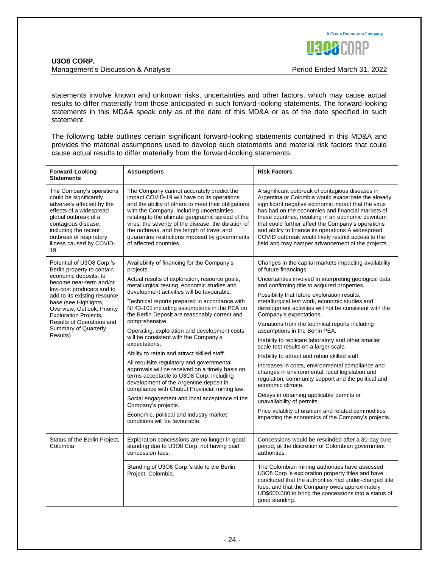

statements involve known and unknown risks, uncertainties and other factors, which may cause actual results to differ materially from those anticipated in such forward-looking statements. The forward-looking statements in this MD&A speak only as of the date of this MD&A or as of the date specified in such statement.

The following table outlines certain significant forward-looking statements contained in this MD&A and provides the material assumptions used to develop such statements and material risk factors that could cause actual results to differ materially from the forward-looking statements.

| <b>Forward-Looking</b><br><b>Statements</b>                                                                                                                                                                                                                                                                                       | <b>Assumptions</b>                                                                                                                                                                                                                                                                                                                                                                                                                 | <b>Risk Factors</b>                                                                                                                                                                                                                                                                                                                                                                                                                                                                             |
|-----------------------------------------------------------------------------------------------------------------------------------------------------------------------------------------------------------------------------------------------------------------------------------------------------------------------------------|------------------------------------------------------------------------------------------------------------------------------------------------------------------------------------------------------------------------------------------------------------------------------------------------------------------------------------------------------------------------------------------------------------------------------------|-------------------------------------------------------------------------------------------------------------------------------------------------------------------------------------------------------------------------------------------------------------------------------------------------------------------------------------------------------------------------------------------------------------------------------------------------------------------------------------------------|
| The Company's operations<br>could be significantly<br>adversely affected by the<br>effects of a widespread<br>global outbreak of a<br>contagious disease,<br>including the recent<br>outbreak of respiratory<br>illness caused by COVID-<br>19.                                                                                   | The Company cannot accurately predict the<br>impact COVID-19 will have on its operations<br>and the ability of others to meet their obligations<br>with the Company, including uncertainties<br>relating to the ultimate geographic spread of the<br>virus, the severity of the disease, the duration of<br>the outbreak, and the length of travel and<br>quarantine restrictions imposed by governments<br>of affected countries. | A significant outbreak of contagious diseases in<br>Argentina or Colombia would exacerbate the already<br>significant negative economic impact that the virus<br>has had on the economies and financial markets of<br>these countries, resulting in an economic downturn<br>that could further affect the Company's operations<br>and ability to finance its operations A widespread<br>COVID outbreak would likely restrict access to the<br>field and may hamper advancement of the projects. |
| Potential of U3O8 Corp.'s<br>Berlin property to contain<br>economic deposits, to<br>become near-term and/or<br>low-cost producers and to<br>add to its existing resource<br>base (see Highlights,<br>Overview, Outlook, Priority<br><b>Exploration Projects,</b><br>Results of Operations and<br>Summary of Quarterly<br>Results) | Availability of financing for the Company's<br>projects.                                                                                                                                                                                                                                                                                                                                                                           | Changes in the capital markets impacting availability<br>of future financings.                                                                                                                                                                                                                                                                                                                                                                                                                  |
|                                                                                                                                                                                                                                                                                                                                   | Actual results of exploration, resource goals,<br>metallurgical testing, economic studies and                                                                                                                                                                                                                                                                                                                                      | Uncertainties involved in interpreting geological data<br>and confirming title to acquired properties.<br>Possibility that future exploration results,<br>metallurgical test work, economic studies and<br>development activities will not be consistent with the<br>Company's expectations.                                                                                                                                                                                                    |
|                                                                                                                                                                                                                                                                                                                                   | development activities will be favourable.<br>Technical reports prepared in accordance with<br>NI 43-101 including assumptions in the PEA on<br>the Berlin Deposit are reasonably correct and                                                                                                                                                                                                                                      |                                                                                                                                                                                                                                                                                                                                                                                                                                                                                                 |
|                                                                                                                                                                                                                                                                                                                                   | comprehensive.<br>Operating, exploration and development costs                                                                                                                                                                                                                                                                                                                                                                     | Variations from the technical reports including<br>assumptions in the Berlin PEA.                                                                                                                                                                                                                                                                                                                                                                                                               |
|                                                                                                                                                                                                                                                                                                                                   | will be consistent with the Company's<br>expectations.                                                                                                                                                                                                                                                                                                                                                                             | Inability to replicate laboratory and other smaller<br>scale test results on a larger scale.                                                                                                                                                                                                                                                                                                                                                                                                    |
|                                                                                                                                                                                                                                                                                                                                   | Ability to retain and attract skilled staff.                                                                                                                                                                                                                                                                                                                                                                                       | Inability to attract and retain skilled staff.                                                                                                                                                                                                                                                                                                                                                                                                                                                  |
|                                                                                                                                                                                                                                                                                                                                   | All requisite regulatory and governmental<br>approvals will be received on a timely basis on<br>terms acceptable to U3O8 Corp. including<br>development of the Argentine deposit in<br>compliance with Chubut Provincial mining law.                                                                                                                                                                                               | Increases in costs, environmental compliance and<br>changes in environmental, local legislation and<br>regulation, community support and the political and<br>economic climate.                                                                                                                                                                                                                                                                                                                 |
|                                                                                                                                                                                                                                                                                                                                   | Social engagement and local acceptance of the<br>Company's projects.                                                                                                                                                                                                                                                                                                                                                               | Delays in obtaining applicable permits or<br>unavailability of permits.                                                                                                                                                                                                                                                                                                                                                                                                                         |
|                                                                                                                                                                                                                                                                                                                                   | Economic, political and industry market<br>conditions will be favourable.                                                                                                                                                                                                                                                                                                                                                          | Price volatility of uranium and related commodities<br>impacting the economics of the Company's projects.                                                                                                                                                                                                                                                                                                                                                                                       |
| Status of the Berlin Project,<br>Colombia                                                                                                                                                                                                                                                                                         | Exploration concessions are no longer in good<br>standing due to U3O8 Corp. not having paid<br>concession fees.                                                                                                                                                                                                                                                                                                                    | Concessions would be rescinded after a 30-day cure<br>period, at the discretion of Colombian government<br>authorities.                                                                                                                                                                                                                                                                                                                                                                         |
|                                                                                                                                                                                                                                                                                                                                   | Standing of U3O8 Corp.'s title to the Berlin<br>Project, Colombia.                                                                                                                                                                                                                                                                                                                                                                 | The Colombian mining authorities have assessed<br>U3O8 Corp.'s exploration property titles and have<br>concluded that the authorities had under-charged title<br>fees, and that the Company owes approximately<br>UD\$600,000 to bring the concessions into a status of<br>good standing.                                                                                                                                                                                                       |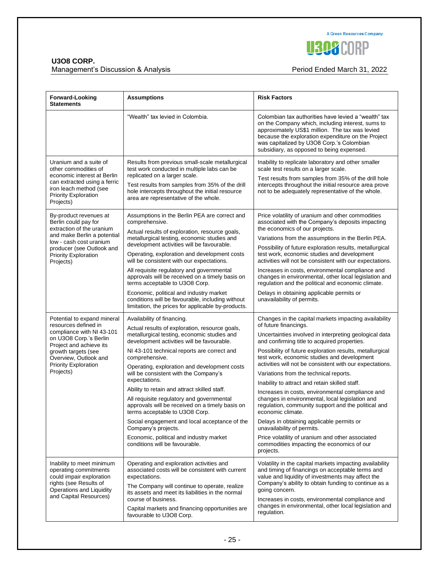**A Green Resources Company U308CORP** 

## **U3O8 CORP.**

Management's Discussion & Analysis **Period Ended March 31, 2022** 

| Forward-Looking<br><b>Statements</b>                                                                                                                                                                                              | <b>Assumptions</b>                                                                                                                                                                                                                                                                                                                                                                                                                                                                                                                                                                                                                                                                          | <b>Risk Factors</b>                                                                                                                                                                                                                                                                                                                                                                                                                                                                                                                                                                                                                                                                                                                                                                                                                      |
|-----------------------------------------------------------------------------------------------------------------------------------------------------------------------------------------------------------------------------------|---------------------------------------------------------------------------------------------------------------------------------------------------------------------------------------------------------------------------------------------------------------------------------------------------------------------------------------------------------------------------------------------------------------------------------------------------------------------------------------------------------------------------------------------------------------------------------------------------------------------------------------------------------------------------------------------|------------------------------------------------------------------------------------------------------------------------------------------------------------------------------------------------------------------------------------------------------------------------------------------------------------------------------------------------------------------------------------------------------------------------------------------------------------------------------------------------------------------------------------------------------------------------------------------------------------------------------------------------------------------------------------------------------------------------------------------------------------------------------------------------------------------------------------------|
|                                                                                                                                                                                                                                   | "Wealth" tax levied in Colombia.                                                                                                                                                                                                                                                                                                                                                                                                                                                                                                                                                                                                                                                            | Colombian tax authorities have levied a "wealth" tax<br>on the Company which, including interest, sums to<br>approximately US\$1 million. The tax was levied<br>because the exploration expenditure on the Project<br>was capitalized by U3O8 Corp.'s Colombian<br>subsidiary, as opposed to being expensed.                                                                                                                                                                                                                                                                                                                                                                                                                                                                                                                             |
| Uranium and a suite of<br>other commodities of<br>economic interest at Berlin<br>can extracted using a ferric<br>iron leach method (see<br><b>Priority Exploration</b><br>Projects)                                               | Results from previous small-scale metallurgical<br>test work conducted in multiple labs can be<br>replicated on a larger scale.<br>Test results from samples from 35% of the drill<br>hole intercepts throughout the initial resource<br>area are representative of the whole.                                                                                                                                                                                                                                                                                                                                                                                                              | Inability to replicate laboratory and other smaller<br>scale test results on a larger scale.<br>Test results from samples from 35% of the drill hole<br>intercepts throughout the initial resource area prove<br>not to be adequately representative of the whole.                                                                                                                                                                                                                                                                                                                                                                                                                                                                                                                                                                       |
| By-product revenues at<br>Berlin could pay for<br>extraction of the uranium<br>and make Berlin a potential<br>low - cash cost uranium<br>producer (see Outlook and<br><b>Priority Exploration</b><br>Projects)                    | Assumptions in the Berlin PEA are correct and<br>comprehensive.<br>Actual results of exploration, resource goals,<br>metallurgical testing, economic studies and<br>development activities will be favourable.<br>Operating, exploration and development costs<br>will be consistent with our expectations.<br>All requisite regulatory and governmental<br>approvals will be received on a timely basis on<br>terms acceptable to U3O8 Corp.<br>Economic, political and industry market<br>conditions will be favourable, including without<br>limitation, the prices for applicable by-products.                                                                                          | Price volatility of uranium and other commodities<br>associated with the Company's deposits impacting<br>the economics of our projects.<br>Variations from the assumptions in the Berlin PEA.<br>Possibility of future exploration results, metallurgical<br>test work, economic studies and development<br>activities will not be consistent with our expectations.<br>Increases in costs, environmental compliance and<br>changes in environmental, other local legislation and<br>regulation and the political and economic climate.<br>Delays in obtaining applicable permits or<br>unavailability of permits.                                                                                                                                                                                                                       |
| Potential to expand mineral<br>resources defined in<br>compliance with NI 43-101<br>on U3O8 Corp.'s Berlin<br>Project and achieve its<br>growth targets (see<br>Overview, Outlook and<br><b>Priority Exploration</b><br>Projects) | Availability of financing.<br>Actual results of exploration, resource goals,<br>metallurgical testing, economic studies and<br>development activities will be favourable.<br>NI 43-101 technical reports are correct and<br>comprehensive.<br>Operating, exploration and development costs<br>will be consistent with the Company's<br>expectations.<br>Ability to retain and attract skilled staff.<br>All requisite regulatory and governmental<br>approvals will be received on a timely basis on<br>terms acceptable to U3O8 Corp.<br>Social engagement and local acceptance of the<br>Company's projects.<br>Economic, political and industry market<br>conditions will be favourable. | Changes in the capital markets impacting availability<br>of future financings.<br>Uncertainties involved in interpreting geological data<br>and confirming title to acquired properties.<br>Possibility of future exploration results, metallurgical<br>test work, economic studies and development<br>activities will not be consistent with our expectations.<br>Variations from the technical reports.<br>Inability to attract and retain skilled staff.<br>Increases in costs, environmental compliance and<br>changes in environmental, local legislation and<br>regulation, community support and the political and<br>economic climate.<br>Delays in obtaining applicable permits or<br>unavailability of permits.<br>Price volatility of uranium and other associated<br>commodities impacting the economics of our<br>projects. |
| Inability to meet minimum<br>operating commitments<br>could impair exploration<br>rights (see Results of<br>Operations and Liquidity<br>and Capital Resources)                                                                    | Operating and exploration activities and<br>associated costs will be consistent with current<br>expectations.<br>The Company will continue to operate, realize<br>its assets and meet its liabilities in the normal<br>course of business.<br>Capital markets and financing opportunities are<br>favourable to U3O8 Corp.                                                                                                                                                                                                                                                                                                                                                                   | Volatility in the capital markets impacting availability<br>and timing of financings on acceptable terms and<br>value and liquidity of investments may affect the<br>Company's ability to obtain funding to continue as a<br>going concern.<br>Increases in costs, environmental compliance and<br>changes in environmental, other local legislation and<br>regulation.                                                                                                                                                                                                                                                                                                                                                                                                                                                                  |